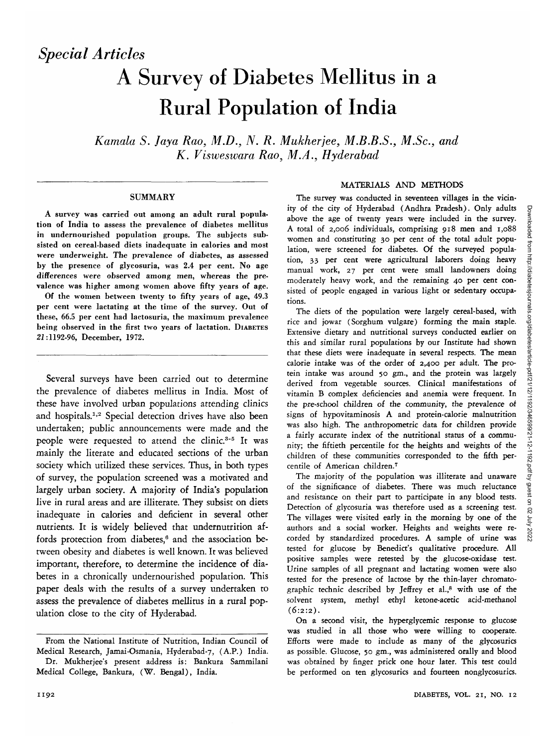# A Survey of Diabetes Mellitus in a Rural Population of India

*Kamala S. Jaya Rao, M.D., N. R. Mukherjee, M.B.B.S., M.Sc, and K. Visweswara Rao, M.A., Hyderabad*

### **SUMMARY**

A survey was carried out among an adult rural population of India to assess the prevalence of diabetes mellitus in undernourished population groups. The subjects subsisted on cereal-based diets inadequate in calories and most were underweight. The prevalence of diabetes, as assessed by the presence of glycosuria, was 2.4 per cent. No age differences were observed among men, whereas the prevalence was higher among women above fifty years of age.

Of the women between twenty to fifty years of age, 49.3 per cent were lactating at the time of the survey. Out of these, 66.5 per cent had lactosuria, the maximum prevalence being observed in the first two years of lactation. DIABETES 2i:1192-96, December, 1972.

Several surveys have been carried out to determine the prevalence of diabetes mellitus in India. Most of these have involved urban populations attending clinics and hospitals.<sup>1,2</sup> Special detection drives have also been undertaken; public announcements were made and the people were requested to attend the clinic.<sup>3-5</sup> It was mainly the literate and educated sections of the urban society which utilized these services. Thus, in both types of survey, the population screened was a motivated and largely urban society. A majority of India's population live in rural areas and are illiterate. They subsist on diets inadequate in calories and deficient in several other nutrients. It is widely believed that undernutrition affords protection from diabetes,<sup>6</sup> and the association between obesity and diabetes is well known. It was believed important, therefore, to determine the incidence of diabetes in a chronically undernourished population. This paper deals with the results of a survey undertaken to assess the prevalence of diabetes mellitus in a rural population close to the city of Hyderabad.

# MATERIALS AND METHODS

The survey was conducted in seventeen villages in the vicinity of the city of Hyderabad (Andhra Pradesh). Only adults above the age of twenty years were included in the survey. A total of 2,006 individuals, comprising 918 men and 1,088 women and constituting 30 per cent of the total adult population, were screened for diabetes. Of the surveyed population, 33 per cent were agricultural laborers doing heavy manual work, 27 per cent were small landowners doing moderately heavy work, and the remaining 40 per cent consisted of people engaged in various light or sedentary occupations.

The diets of the population were largely cereal-based, with rice and jowar (Sorghum vulgare) forming the main staple. Extensive dietary and nutritional surveys conducted earlier on this and similar rural populations by our Institute had shown that these diets were inadequate in several respects. The mean calorie intake was of the order of 2,400 per adult. The protein intake was around 50 gm., and the protein was largely derived from vegetable sources. Clinical manifestations of vitamin B complex deficiencies and anemia were frequent. In the pre-school children of the community, the prevalence of signs of hypovitaminosis A and protein-calorie malnutrition was also high. The anthropometric data for children provide a fairly accurate index of the nutritional status of a community; the fiftieth percentile for the heights and weights of the children of these communities corresponded to the fifth percentile of American children.7

The majority of the population was illiterate and unaware of the significance of diabetes. There was much reluctance and resistance on their part to participate in any blood tests. Detection of glycosuria was therefore used as a screening test. The villages were visited early in the morning by one of the authors and a social worker. Heights and weights were recorded by standardized procedures. A sample of urine was tested for glucose by Benedict's qualitative procedure. All positive samples were retested by the glucose-oxidase test. Urine samples of all pregnant and lactating women were also tested for the presence of lactose by the thin-layer chromatographic technic described by Jeffrey et al.,8 with use of the solvent system, methyl ethyl ketone-acetic acid-methanol  $(6:2:2)$ .

On a second visit, the hyperglycemic response to glucose was studied in all those who were willing to cooperate. Efforts were made to include as many of the glycosurics as possible. Glucose, 50 gm., was administered orally and blood was obtained by finger prick one hour later. This test could be performed on ten glycosurics and fourteen nonglycosurics.

From the National Institute of Nutrition, Indian Council of Medical Research, Jamai-Osmania, Hyderabad-7, (A.P.) India.

Dr. Mukherjee's present address is: Bankura Sammilani Medical College, Bankura, (W. Bengal), India.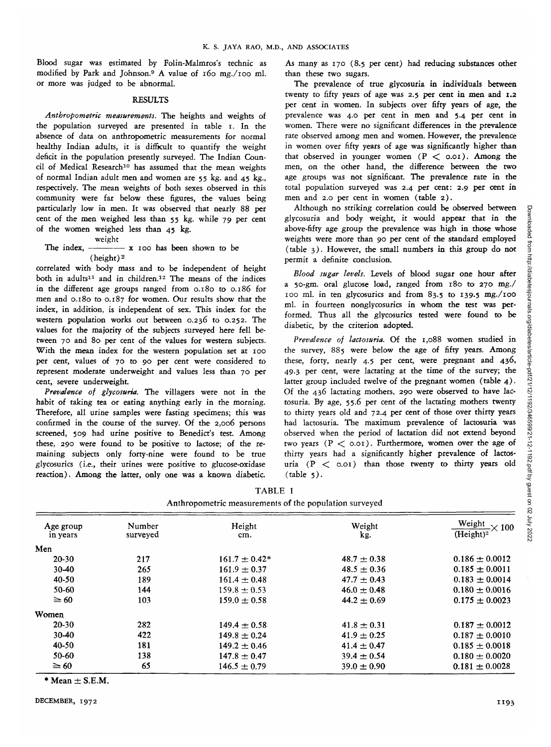Blood sugar was estimated by Folin-Malmros's technic as modified by Park and Johnson.9 A value of 160 mg./ioo ml. or more was judged to be abnormal.

## RESULTS

*Anthropometric measurements.* The heights and weights of the population surveyed are presented in table i. In the absence of data on anthropometric measurements for normal healthy Indian adults, it is difficult to quantify the weight deficit in the population presently surveyed. The Indian Council of Medical Research<sup>10</sup> has assumed that the mean weights of normal Indian adult men and women are 55 kg. and 45 kg., respectively. The mean weights of both sexes observed in this community were far below these figures, the values being particularly low in men. It was observed that nearly 88 per cent of the men weighed less than 55 kg. while 79 per cent of the women weighed less than 45 kg.

weight

The index,  $\frac{1}{x}$  x 100 has been shown to be (height) 2

correlated with body mass and to be independent of height both in adults<sup>11</sup> and in children.<sup>12</sup> The means of the indices in the different age groups ranged from 0.180 to 0.186 for men and 0.180 to 0.187 for women. Our results show that the index, in addition, is independent of sex. This index for the western population works out between 0.236 to 0.252. The values for the majority of the subjects surveyed here fell between 70 and 80 per cent of the values for western subjects. With the mean index for the western population set at 100 per cent, values of 70 to 90 per cent were considered to represent moderate underweight and values less than 70 per cent, severe underweight.

*Prevalence of glycosuria.* The villagers were not in the habit of taking tea or eating anything early in the morning. Therefore, all urine samples were fasting specimens; this was confirmed in the course of the survey. Of the 2,006 persons screened, 509 had urine positive to Benedict's test. Among these, 290 were found to be positive to lactose; of the remaining subjects only forty-nine were found to be true glycosurics (i.e., their urines were positive to glucose-oxidase reaction). Among the latter, only one was a known diabetic.

As many as 170 (8.5 per cent) had reducing substances other than these two sugars.

The prevalence of true glycosuria in individuals between twenty to fifty years of age was 2.5 per cent in men and 1.2 per cent in women. In subjects over fifty years of age, the prevalence was 4.0 per cent in men and 5.4 per cent in women. There were no significant differences in the prevalence rate observed among men and women. However, the prevalence in women over fifty years of age was significantly higher than that observed in younger women  $(P < 0.01)$ . Among the men, on the other hand, the difference between the two age groups was not significant. The prevalence rate in the total population surveyed was 2.4 per cent: 2.9 per cent in men and 2.0 per cent in women (table 2).

Although no striking correlation could be observed between glycosuria and body weight, it would appear that in the above-fifty age group the prevalence was high in those whose weights were more than 90 per cent of the standard employed (table 3). However, the small numbers in this group do not permit a definite conclusion.

*Blood sugar levels.* Levels of blood sugar one hour after a 50-gm. oral glucose load, ranged from 180 to 270 mg./ 100 ml. in ten glycosurics and from 83.5 to 139.5 rng./ioo ml. in fourteen nonglycosurics in whom the test was performed. Thus all the glycosurics tested were found to be diabetic, by the criterion adopted.

*Prevalence of lactosuria.* Of the 1,088 women studied in the survey, 885 were below the age of fifty years. Among these, forty, nearly 4.5 per cent, were pregnant and 436, 49.3 per cent, were lactating at the time of the survey; the latter group included twelve of the pregnant women (table 4). Of the 436 lactating mothers, 290 were observed to have lactosuria. By age, 55.6 per cent of the lactating mothers twenty to thirty years old and 72.4 per cent of those over thirty years had lactosuria. The maximum prevalence of lactosuria was observed when the period of lactation did not extend beyond two years  $(P < 0.01)$ . Furthermore, women over the age of thirty years had a significantly higher prevalence of lactosuria  $(P < o.o.$ ) than those twenty to thirty years old  $(table 5).$ 

| Anthropometric measurements of the population surveyed |                    |                   |                 |                                              |
|--------------------------------------------------------|--------------------|-------------------|-----------------|----------------------------------------------|
| Age group<br>in years                                  | Number<br>surveyed | Height<br>cm.     | Weight<br>kg.   | Weight $\times$ 100<br>(Height) <sup>2</sup> |
| Men                                                    |                    |                   |                 |                                              |
| $20-30$                                                | 217                | $161.7 \pm 0.42*$ | $48.7 \pm 0.38$ | $0.186 \pm 0.0012$                           |
| $30-40$                                                | 265                | $161.9 \pm 0.37$  | $48.5 \pm 0.36$ | $0.185 \pm 0.0011$                           |
| 40-50                                                  | 189                | $161.4 \pm 0.48$  | $47.7 \pm 0.43$ | $0.183 \pm 0.0014$                           |
| 50-60                                                  | 144                | $159.8 \pm 0.53$  | $46.0 \pm 0.48$ | $0.180 \pm 0.0016$                           |
| $\geq 60$                                              | 103                | $159.0 \pm 0.58$  | $44.2 \pm 0.69$ | $0.175 \pm 0.0023$                           |
| Women                                                  |                    |                   |                 |                                              |
| $20-30$                                                | 282                | $149.4 \pm 0.58$  | $41.8 \pm 0.31$ | $0.187 \pm 0.0012$                           |
| $30 - 40$                                              | 422                | $149.8 \pm 0.24$  | $41.9 \pm 0.25$ | $0.187 \pm 0.0010$                           |
| 40-50                                                  | 181                | $149.2 \pm 0.46$  | $41.4 \pm 0.47$ | $0.185 \pm 0.0018$                           |
| 50-60                                                  | 138                | $147.8 \pm 0.47$  | $39.4 \pm 0.54$ | $0.180 \pm 0.0020$                           |
| $\geq 60$                                              | 65                 | $146.5 \pm 0.79$  | $39.0 \pm 0.90$ | $0.181 \pm 0.0028$                           |

TABLE 1

 $*$  Mean  $\pm$  S.E.M.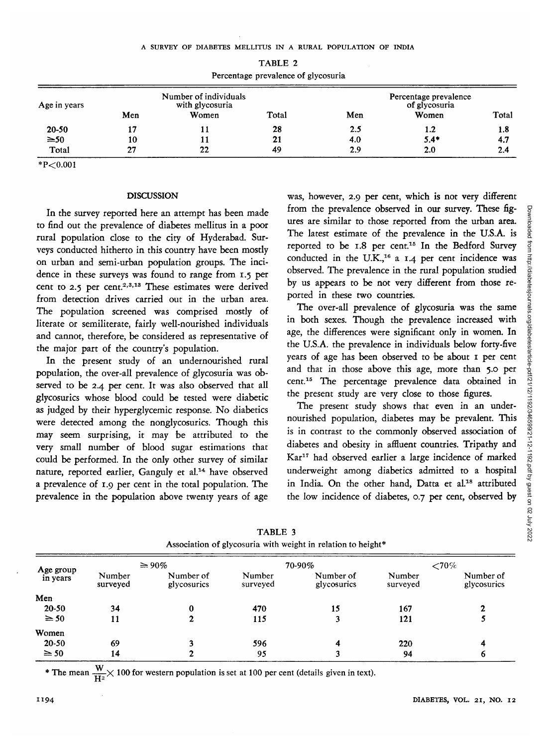| Age in years | Number of individuals<br>with glycosuria |       |       | Percentage prevalence<br>of glycosuria |        |       |
|--------------|------------------------------------------|-------|-------|----------------------------------------|--------|-------|
|              | Men                                      | Women | Total | Men                                    | Women  | Total |
| $20 - 50$    |                                          |       | 28    | 2.5                                    | 1.2    | 1.8   |
| $\geq 50$    | 10                                       |       | 21    | 4.0                                    | $5.4*$ | 4.7   |
| Total        | 27                                       | 22    | 49    | 2.9                                    | 2.0    | 2.4   |

TABLE 2 Percentage prevalence of glycosuria

 $*P<0.001$ 

#### **DISCUSSION**

In the survey reported here an attempt has been made to find out the prevalence of diabetes mellitus in a poor rural population close to the city of Hyderabad. Surveys conducted hitherto in this country have been mostly on urban and semi-urban population groups. The incidence in these surveys was found to range from 1.5 per cent to 2.5 per cent.<sup>2,3,13</sup> These estimates were derived from detection drives carried out in the urban area. The population screened was comprised mostly of literate or semiliterate, fairly well-nourished individuals and cannot, therefore, be considered as representative of the major part of the country's population.

In the present study of an undernourished rural population, the over-all prevalence of glycosuria was observed to be 2.4 per cent. It was also observed that all glycosurics whose blood could be tested were diabetic as judged by their hyperglycemic response. No diabetics were detected among the nonglycosurics. Though this may seem surprising, it may be attributed to the very small number of blood sugar estimations that could be performed. In the only other survey of similar nature, reported earlier, Ganguly et al.<sup>14</sup> have observed a prevalence of 1.9 per cent in the total population. The prevalence in the population above twenty years of age

was, however, 2.9 per cent, which is not very differen from the prevalence observed in our survey. These figures are similar to those reported from the urban area. The latest estimate of the prevalence in the U.S.A. is reported to be 1.8 per cent.<sup>15</sup> In the Bedford Survey conducted in the U.K.,<sup>16</sup> a 1.4 per cent incidence was observed. The prevalence in the rural population studied by us appears to be not very different from those reported in these two countries.

The over-all prevalence of glycosuria was the same in both sexes. Though the prevalence increased with age, the differences were significant only in women. In the U.S.A. the prevalence in individuals below forty-five years of age has been observed to be about 1 per cent and that in those above this age, more than 5.0 per cent.15 The percentage prevalence data obtained in the present study are very close to those figures.

The present study shows that even in an undernourished population, diabetes may be prevalent. This is in contrast to the commonly observed association of diabetes and obesity in affluent countries. Tripathy and Kar<sup>17</sup> had observed earlier a large incidence of marked underweight among diabetics admitted to a hospital in India On the other hand. Datta et al.<sup>18</sup> attributed the low incidence of diabetes, 0.7 per cent, observed by

| Age group<br>in years | $\geq 90\%$        |                          | 70-90%             |                          | ${<}70\%$          |                          |
|-----------------------|--------------------|--------------------------|--------------------|--------------------------|--------------------|--------------------------|
|                       | Number<br>surveyed | Number of<br>glycosurics | Number<br>surveyed | Number of<br>glycosurics | Number<br>surveyed | Number of<br>glycosurics |
| Men                   |                    |                          |                    |                          |                    |                          |
| 20-50                 | 34                 | 0                        | 470                | 15                       | 167                |                          |
| $\geq 50$             | 11                 |                          | 115                |                          | 121                |                          |
| Women                 |                    |                          |                    |                          |                    |                          |
| $20 - 50$             | 69                 |                          | 596                |                          | 220                | 4                        |
| $\geq 50$             | 14                 |                          | 95                 |                          | 94                 | 6                        |

TABLE 3 Association of glycosuria with weight in relation to height\*

**w**  $\mathbf{H}^2$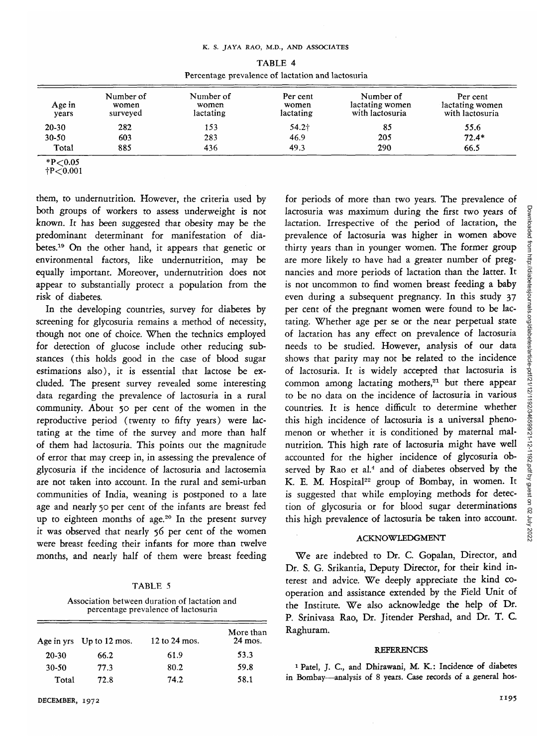| TABLE 4 |                                                   |  |  |  |
|---------|---------------------------------------------------|--|--|--|
|         | Percentage prevalence of lactation and lactosuria |  |  |  |

| Age in<br>vears | Number of<br>women<br>surveyed | Number of<br>women<br>lactating | Per cent<br>women<br>lactating | Number of<br>lactating women<br>with lactosuria | Per cent<br>lactating women<br>with lactosuria |
|-----------------|--------------------------------|---------------------------------|--------------------------------|-------------------------------------------------|------------------------------------------------|
| 20-30           | 282                            | 153                             | 54.2†                          | 85                                              | 55.6                                           |
| $30 - 50$       | 603                            | 283                             | 46.9                           | 205                                             | $72.4*$                                        |
| Total           | 885                            | 436                             | 49.3                           | 290                                             | 66.5                                           |

 $*P<0.05$ 

 $+P<0.001$ 

them, to undernutrition. However, the criteria used by both groups of workers to assess underweight is not known. *It* has been suggested that obesity may be the predominant determinant for manifestation of diabetes.<sup>19</sup> On the other hand, it appears that genetic or environmental factors, like undernutrition, may be equally important. Moreover, undernutrition does not appear to substantially protect a population from the risk of diabetes.

In the developing countries, survey for diabetes by screening for glycosuria remains a method of necessity, though not one of choice. When the technics employed for detection of glucose include other reducing substances (this holds good in the case of blood sugar estimations also), it is essential that lactose be excluded. The present survey revealed some interesting data regarding the prevalence of lactosuria in a rural community. About 50 per cent of the women in the reproductive period (twenty to fifty years) were lactating at the time of the survey and more than half of them had lactosuria. This points out the magnitude of error that may creep in, in assessing the prevalence of glycosuria if the incidence of lactosuria and lactosemia are not taken into account. In the rural and semi-urban communities of India, weaning is postponed to a late age and nearly 50 per cent of the infants are breast fed  $\frac{1}{2}$  to eighteen months of age.<sup>20</sup> In the present survey it was observed that nearly 56 per cent of the women were breast feeding their infants for more than twelve months, and nearly half of them were breast feeding

| n |  |
|---|--|
|---|--|

Association between duration of lactation and percentage prevalence of lactosuria

| Age in yrs | Up to $12 \text{ mos}$ . | 12 to 24 mos. | More than<br>24 mos. |
|------------|--------------------------|---------------|----------------------|
| 20-30      | 66.2                     | 61.9          | 53.3                 |
| 30-50      | 77.3                     | 80.2          | 59.8                 |
| Total      | 72.8                     | 74.2          | 58.1                 |

for periods of more than two years. The prevalence of lactosuria was maximum during the first two years of lactation. Irrespective of the period of lactation, the prevalence of lactosuria was higher in women above thirty years than in younger women. The former group are more likely to have had a greater number of pregnancies and more periods of lactation than the latter. It is not uncommon to find women breast feeding a baby even during a subsequent pregnancy. In this study 37 per cent of the pregnant women were found to be lactating. Whether age per se or the near perpetual state of lactation has any effect on prevalence of lactosuria needs to be studied. However, analysis of our data shows that parity may not be related to the incidence of lactosuria. It is widely accepted that lactosuria is common among lactating mothers, $21$  but there appear to be no data on the incidence of lactosuria in various countries. It is hence difficult to determine whether this high incidence of lactosuria is a universal phenomenon or whether it is conditioned by maternal malnutrition. This high rate of lactosuria might have well accounted for the higher incidence of glycosuria observed by Rao et al.<sup>4</sup> and of diabetes observed by the  $K$  E M. Hospital<sup>22</sup> group of Bombay, in women. It *is* suggested that while employing methods for detection of glycosuria or for blood sugar determinations this high prevalence of lactosuria be taken into account.

#### ACKNOWLEDGMENT

We are indebted to Dr. C. Gopalan, Director, and Dr. S. G. Srikantia, Deputy Director, for their kind interest and advice. We deeply appreciate the kind cooperation and assistance extended by the Field Unit of the Institute. We also acknowledge the help of Dr. P. Srinivasa Rao, Dr. Jitender Pershad, and Dr. T. C. Raghuram.

#### REFERENCES

1 Patel, J. C, and Dhirawani, M. K.: Incidence of diabetes in Bombay—analysis of 8 years. Case records of a general hos